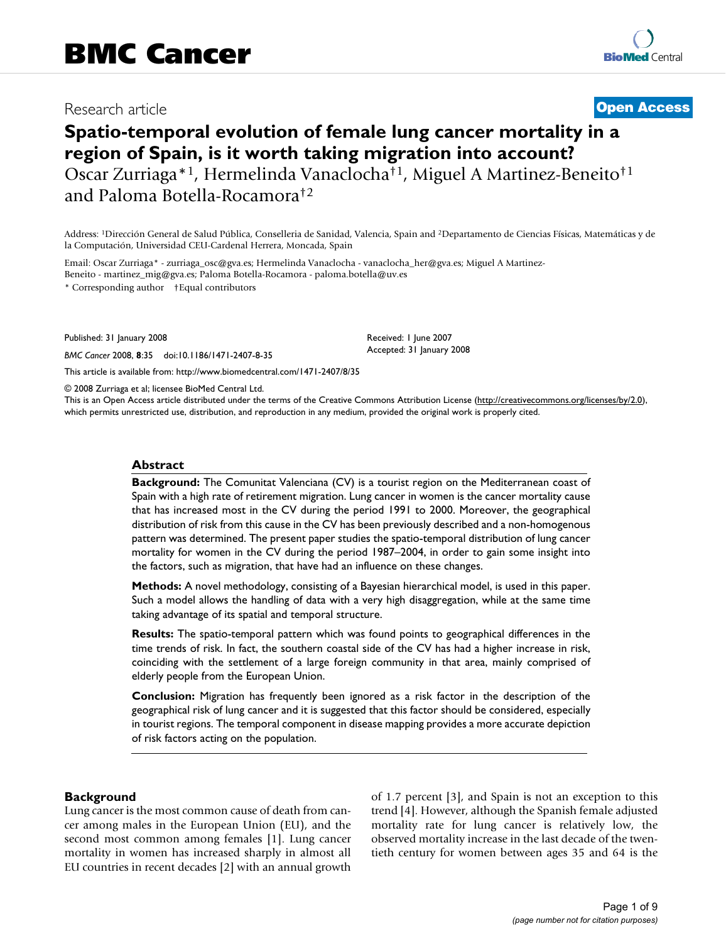## Research article **Open Access**

# **Spatio-temporal evolution of female lung cancer mortality in a region of Spain, is it worth taking migration into account?** Oscar Zurriaga\*1, Hermelinda Vanaclocha†1, Miguel A Martinez-Beneito†1 and Paloma Botella-Rocamora†2

Address: 1Dirección General de Salud Pública, Conselleria de Sanidad, Valencia, Spain and 2Departamento de Ciencias Físicas, Matemáticas y de la Computación, Universidad CEU-Cardenal Herrera, Moncada, Spain

Email: Oscar Zurriaga\* - zurriaga\_osc@gva.es; Hermelinda Vanaclocha - vanaclocha\_her@gva.es; Miguel A Martinez-Beneito - martinez\_mig@gva.es; Paloma Botella-Rocamora - paloma.botella@uv.es

\* Corresponding author †Equal contributors

Published: 31 January 2008

*BMC Cancer* 2008, **8**:35 doi:10.1186/1471-2407-8-35

This article is available from: http://www.biomedcentral.com/1471-2407/8/35

© 2008 Zurriaga et al; licensee BioMed Central Ltd.

This is an Open Access article distributed under the terms of the Creative Commons Attribution License (http://creativecommons.org/licenses/by/2.0), which permits unrestricted use, distribution, and reproduction in any medium, provided the original work is properly cited.

Received: 1 June 2007 Accepted: 31 January 2008

#### **Abstract**

**Background:** The Comunitat Valenciana (CV) is a tourist region on the Mediterranean coast of Spain with a high rate of retirement migration. Lung cancer in women is the cancer mortality cause that has increased most in the CV during the period 1991 to 2000. Moreover, the geographical distribution of risk from this cause in the CV has been previously described and a non-homogenous pattern was determined. The present paper studies the spatio-temporal distribution of lung cancer mortality for women in the CV during the period 1987–2004, in order to gain some insight into the factors, such as migration, that have had an influence on these changes.

**Methods:** A novel methodology, consisting of a Bayesian hierarchical model, is used in this paper. Such a model allows the handling of data with a very high disaggregation, while at the same time taking advantage of its spatial and temporal structure.

**Results:** The spatio-temporal pattern which was found points to geographical differences in the time trends of risk. In fact, the southern coastal side of the CV has had a higher increase in risk, coinciding with the settlement of a large foreign community in that area, mainly comprised of elderly people from the European Union.

**Conclusion:** Migration has frequently been ignored as a risk factor in the description of the geographical risk of lung cancer and it is suggested that this factor should be considered, especially in tourist regions. The temporal component in disease mapping provides a more accurate depiction of risk factors acting on the population.

#### **Background**

Lung cancer is the most common cause of death from cancer among males in the European Union (EU), and the second most common among females [1]. Lung cancer mortality in women has increased sharply in almost all EU countries in recent decades [2] with an annual growth of 1.7 percent [3], and Spain is not an exception to this trend [4]. However, although the Spanish female adjusted mortality rate for lung cancer is relatively low, the observed mortality increase in the last decade of the twentieth century for women between ages 35 and 64 is the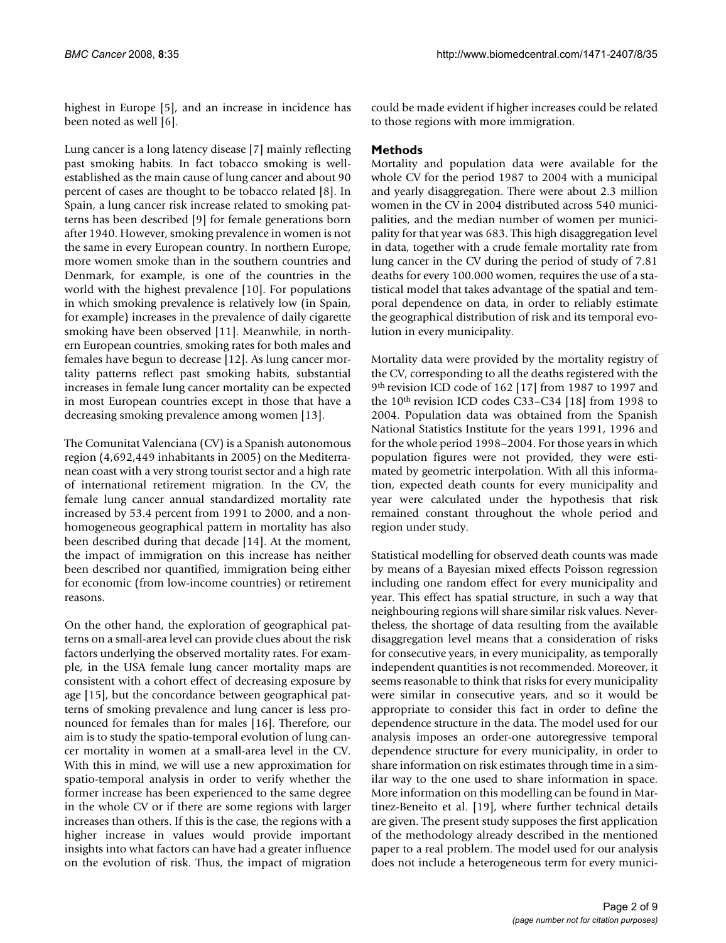highest in Europe [5], and an increase in incidence has been noted as well [6].

Lung cancer is a long latency disease [7] mainly reflecting past smoking habits. In fact tobacco smoking is wellestablished as the main cause of lung cancer and about 90 percent of cases are thought to be tobacco related [8]. In Spain, a lung cancer risk increase related to smoking patterns has been described [9] for female generations born after 1940. However, smoking prevalence in women is not the same in every European country. In northern Europe, more women smoke than in the southern countries and Denmark, for example, is one of the countries in the world with the highest prevalence [10]. For populations in which smoking prevalence is relatively low (in Spain, for example) increases in the prevalence of daily cigarette smoking have been observed [11]. Meanwhile, in northern European countries, smoking rates for both males and females have begun to decrease [12]. As lung cancer mortality patterns reflect past smoking habits, substantial increases in female lung cancer mortality can be expected in most European countries except in those that have a decreasing smoking prevalence among women [13].

The Comunitat Valenciana (CV) is a Spanish autonomous region (4,692,449 inhabitants in 2005) on the Mediterranean coast with a very strong tourist sector and a high rate of international retirement migration. In the CV, the female lung cancer annual standardized mortality rate increased by 53.4 percent from 1991 to 2000, and a nonhomogeneous geographical pattern in mortality has also been described during that decade [14]. At the moment, the impact of immigration on this increase has neither been described nor quantified, immigration being either for economic (from low-income countries) or retirement reasons.

On the other hand, the exploration of geographical patterns on a small-area level can provide clues about the risk factors underlying the observed mortality rates. For example, in the USA female lung cancer mortality maps are consistent with a cohort effect of decreasing exposure by age [15], but the concordance between geographical patterns of smoking prevalence and lung cancer is less pronounced for females than for males [16]. Therefore, our aim is to study the spatio-temporal evolution of lung cancer mortality in women at a small-area level in the CV. With this in mind, we will use a new approximation for spatio-temporal analysis in order to verify whether the former increase has been experienced to the same degree in the whole CV or if there are some regions with larger increases than others. If this is the case, the regions with a higher increase in values would provide important insights into what factors can have had a greater influence on the evolution of risk. Thus, the impact of migration

could be made evident if higher increases could be related to those regions with more immigration.

## **Methods**

Mortality and population data were available for the whole CV for the period 1987 to 2004 with a municipal and yearly disaggregation. There were about 2.3 million women in the CV in 2004 distributed across 540 municipalities, and the median number of women per municipality for that year was 683. This high disaggregation level in data, together with a crude female mortality rate from lung cancer in the CV during the period of study of 7.81 deaths for every 100.000 women, requires the use of a statistical model that takes advantage of the spatial and temporal dependence on data, in order to reliably estimate the geographical distribution of risk and its temporal evolution in every municipality.

Mortality data were provided by the mortality registry of the CV, corresponding to all the deaths registered with the 9th revision ICD code of 162 [17] from 1987 to 1997 and the 10<sup>th</sup> revision ICD codes C33–C34 [18] from 1998 to 2004. Population data was obtained from the Spanish National Statistics Institute for the years 1991, 1996 and for the whole period 1998–2004. For those years in which population figures were not provided, they were estimated by geometric interpolation. With all this information, expected death counts for every municipality and year were calculated under the hypothesis that risk remained constant throughout the whole period and region under study.

Statistical modelling for observed death counts was made by means of a Bayesian mixed effects Poisson regression including one random effect for every municipality and year. This effect has spatial structure, in such a way that neighbouring regions will share similar risk values. Nevertheless, the shortage of data resulting from the available disaggregation level means that a consideration of risks for consecutive years, in every municipality, as temporally independent quantities is not recommended. Moreover, it seems reasonable to think that risks for every municipality were similar in consecutive years, and so it would be appropriate to consider this fact in order to define the dependence structure in the data. The model used for our analysis imposes an order-one autoregressive temporal dependence structure for every municipality, in order to share information on risk estimates through time in a similar way to the one used to share information in space. More information on this modelling can be found in Martinez-Beneito et al. [19], where further technical details are given. The present study supposes the first application of the methodology already described in the mentioned paper to a real problem. The model used for our analysis does not include a heterogeneous term for every munici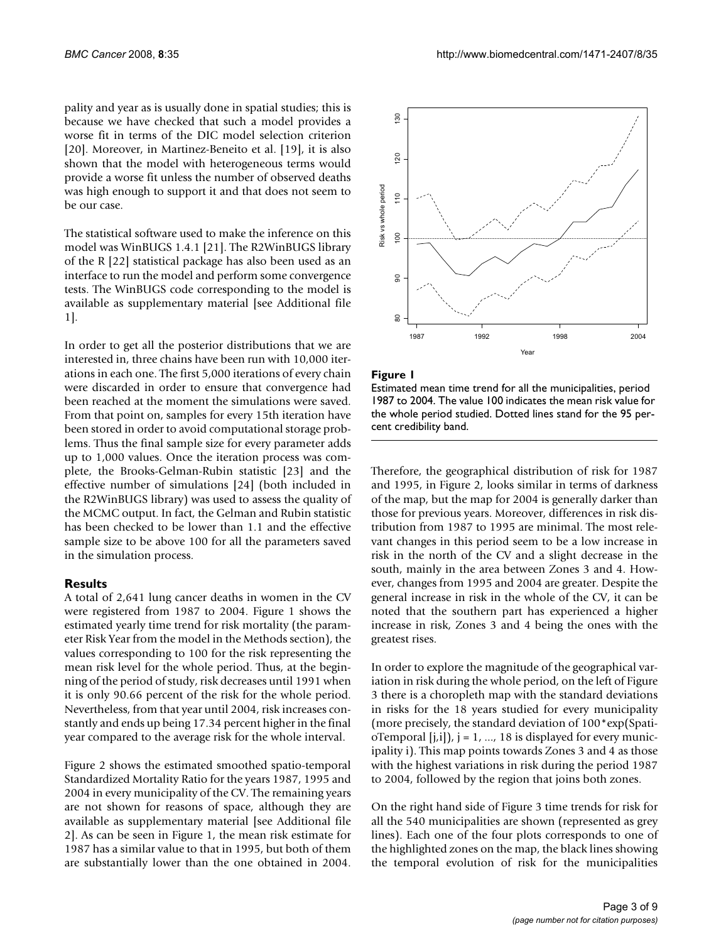pality and year as is usually done in spatial studies; this is because we have checked that such a model provides a worse fit in terms of the DIC model selection criterion [20]. Moreover, in Martinez-Beneito et al. [19], it is also shown that the model with heterogeneous terms would provide a worse fit unless the number of observed deaths was high enough to support it and that does not seem to be our case.

The statistical software used to make the inference on this model was WinBUGS 1.4.1 [21]. The R2WinBUGS library of the R [22] statistical package has also been used as an interface to run the model and perform some convergence tests. The WinBUGS code corresponding to the model is available as supplementary material [see Additional file 1].

In order to get all the posterior distributions that we are interested in, three chains have been run with 10,000 iterations in each one. The first 5,000 iterations of every chain were discarded in order to ensure that convergence had been reached at the moment the simulations were saved. From that point on, samples for every 15th iteration have been stored in order to avoid computational storage problems. Thus the final sample size for every parameter adds up to 1,000 values. Once the iteration process was complete, the Brooks-Gelman-Rubin statistic [23] and the effective number of simulations [24] (both included in the R2WinBUGS library) was used to assess the quality of the MCMC output. In fact, the Gelman and Rubin statistic has been checked to be lower than 1.1 and the effective sample size to be above 100 for all the parameters saved in the simulation process.

## **Results**

A total of 2,641 lung cancer deaths in women in the CV were registered from 1987 to 2004. Figure 1 shows the estimated yearly time trend for risk mortality (the parameter Risk Year from the model in the Methods section), the values corresponding to 100 for the risk representing the mean risk level for the whole period. Thus, at the beginning of the period of study, risk decreases until 1991 when it is only 90.66 percent of the risk for the whole period. Nevertheless, from that year until 2004, risk increases constantly and ends up being 17.34 percent higher in the final year compared to the average risk for the whole interval.

Figure 2 shows the estimated smoothed spatio-temporal Standardized Mortality Ratio for the years 1987, 1995 and 2004 in every municipality of the CV. The remaining years are not shown for reasons of space, although they are available as supplementary material [see Additional file 2]. As can be seen in Figure 1, the mean risk estimate for 1987 has a similar value to that in 1995, but both of them are substantially lower than the one obtained in 2004.



#### **Figure 1**

Estimated mean time trend for all the municipalities, period 1987 to 2004. The value 100 indicates the mean risk value for the whole period studied. Dotted lines stand for the 95 percent credibility band.

Therefore, the geographical distribution of risk for 1987 and 1995, in Figure 2, looks similar in terms of darkness of the map, but the map for 2004 is generally darker than those for previous years. Moreover, differences in risk distribution from 1987 to 1995 are minimal. The most relevant changes in this period seem to be a low increase in risk in the north of the CV and a slight decrease in the south, mainly in the area between Zones 3 and 4. However, changes from 1995 and 2004 are greater. Despite the general increase in risk in the whole of the CV, it can be noted that the southern part has experienced a higher increase in risk, Zones 3 and 4 being the ones with the greatest rises.

In order to explore the magnitude of the geographical variation in risk during the whole period, on the left of Figure 3 there is a choropleth map with the standard deviations in risks for the 18 years studied for every municipality (more precisely, the standard deviation of 100\*exp(SpatioTemporal  $[j,i]$ ),  $j = 1, ..., 18$  is displayed for every municipality i). This map points towards Zones 3 and 4 as those with the highest variations in risk during the period 1987 to 2004, followed by the region that joins both zones.

On the right hand side of Figure 3 time trends for risk for all the 540 municipalities are shown (represented as grey lines). Each one of the four plots corresponds to one of the highlighted zones on the map, the black lines showing the temporal evolution of risk for the municipalities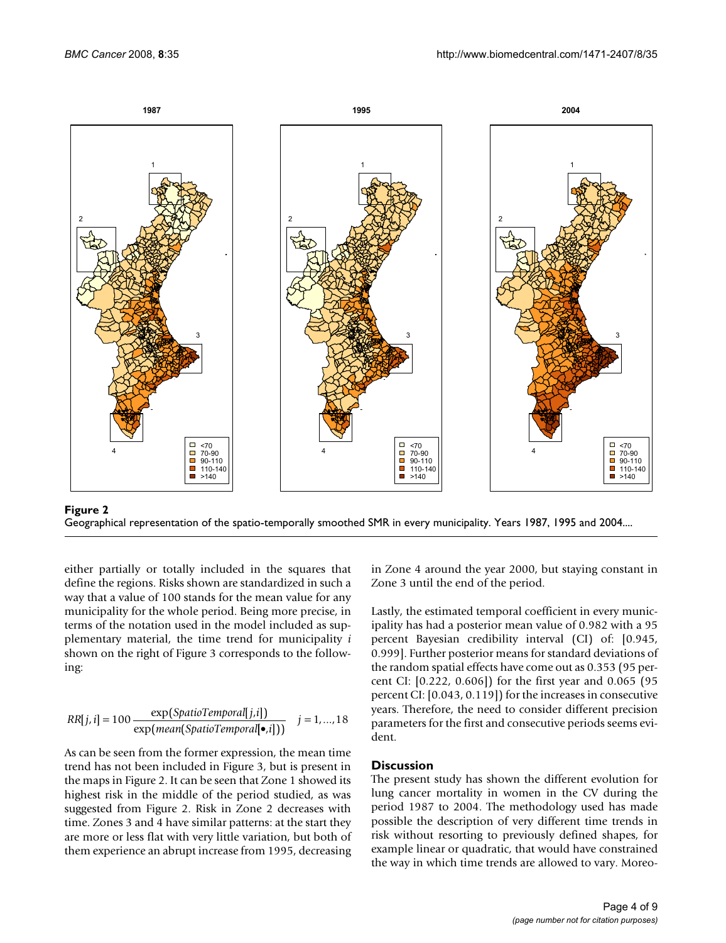

Figure 2 Geographical representation of the spatio-temporally smoothed SMR in every municipality. Years 1987, 1995 and 2004....

either partially or totally included in the squares that define the regions. Risks shown are standardized in such a way that a value of 100 stands for the mean value for any municipality for the whole period. Being more precise, in terms of the notation used in the model included as supplementary material, the time trend for municipality *i* shown on the right of Figure 3 corresponds to the following:

$$
RR[j, i] = 100 \frac{\exp(\text{Spatio Temporal}[j, i])}{\exp(\text{mean}(\text{Spatio Temporal}[\bullet, i]))} \quad j = 1, ..., 18
$$

As can be seen from the former expression, the mean time trend has not been included in Figure 3, but is present in the maps in Figure 2. It can be seen that Zone 1 showed its highest risk in the middle of the period studied, as was suggested from Figure 2. Risk in Zone 2 decreases with time. Zones 3 and 4 have similar patterns: at the start they are more or less flat with very little variation, but both of them experience an abrupt increase from 1995, decreasing in Zone 4 around the year 2000, but staying constant in Zone 3 until the end of the period.

Lastly, the estimated temporal coefficient in every municipality has had a posterior mean value of 0.982 with a 95 percent Bayesian credibility interval (CI) of: [0.945, 0.999]. Further posterior means for standard deviations of the random spatial effects have come out as 0.353 (95 percent CI: [0.222, 0.606]) for the first year and 0.065 (95 percent CI: [0.043, 0.119]) for the increases in consecutive years. Therefore, the need to consider different precision parameters for the first and consecutive periods seems evident.

#### **Discussion**

The present study has shown the different evolution for lung cancer mortality in women in the CV during the period 1987 to 2004. The methodology used has made possible the description of very different time trends in risk without resorting to previously defined shapes, for example linear or quadratic, that would have constrained the way in which time trends are allowed to vary. Moreo-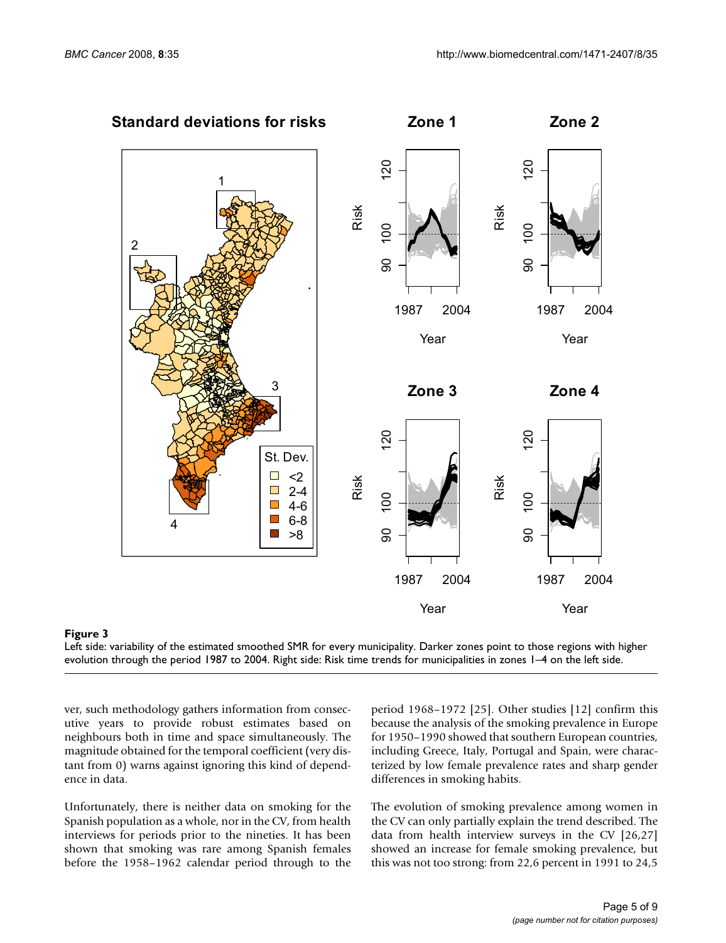

#### **Figure 3**

Left side: variability of the estimated smoothed SMR for every municipality. Darker zones point to those regions with higher evolution through the period 1987 to 2004. Right side: Risk time trends for municipalities in zones 1–4 on the left side.

ver, such methodology gathers information from consecutive years to provide robust estimates based on neighbours both in time and space simultaneously. The magnitude obtained for the temporal coefficient (very distant from 0) warns against ignoring this kind of dependence in data.

Unfortunately, there is neither data on smoking for the Spanish population as a whole, nor in the CV, from health interviews for periods prior to the nineties. It has been shown that smoking was rare among Spanish females before the 1958–1962 calendar period through to the period 1968–1972 [25]. Other studies [12] confirm this because the analysis of the smoking prevalence in Europe for 1950–1990 showed that southern European countries, including Greece, Italy, Portugal and Spain, were characterized by low female prevalence rates and sharp gender differences in smoking habits.

The evolution of smoking prevalence among women in the CV can only partially explain the trend described. The data from health interview surveys in the CV [26,27] showed an increase for female smoking prevalence, but this was not too strong: from 22,6 percent in 1991 to 24,5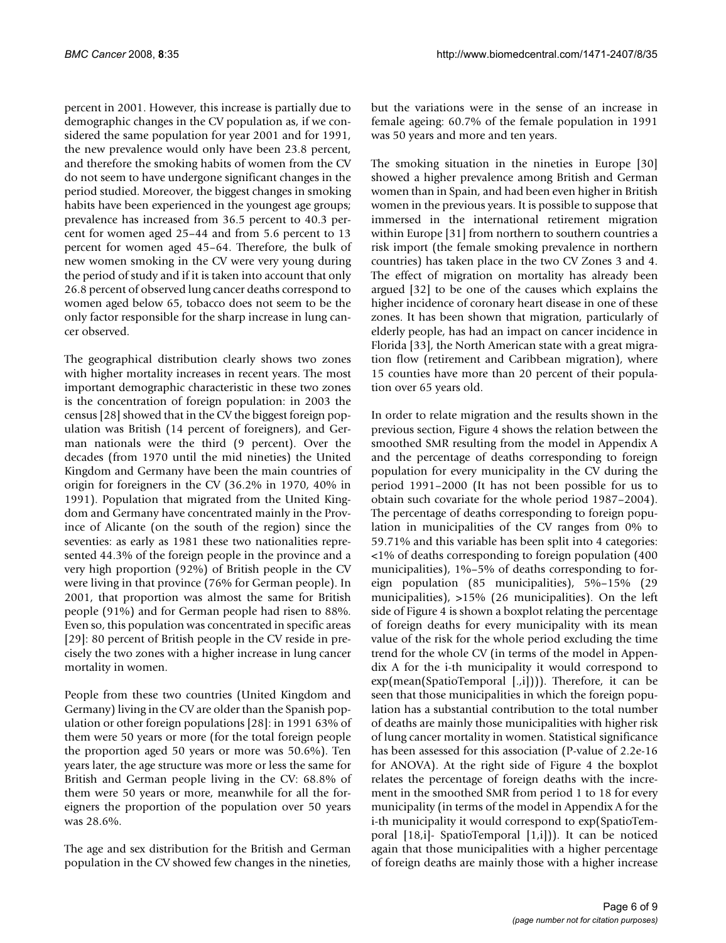percent in 2001. However, this increase is partially due to demographic changes in the CV population as, if we considered the same population for year 2001 and for 1991, the new prevalence would only have been 23.8 percent, and therefore the smoking habits of women from the CV do not seem to have undergone significant changes in the period studied. Moreover, the biggest changes in smoking habits have been experienced in the youngest age groups; prevalence has increased from 36.5 percent to 40.3 percent for women aged 25–44 and from 5.6 percent to 13 percent for women aged 45–64. Therefore, the bulk of new women smoking in the CV were very young during the period of study and if it is taken into account that only 26.8 percent of observed lung cancer deaths correspond to women aged below 65, tobacco does not seem to be the only factor responsible for the sharp increase in lung cancer observed.

The geographical distribution clearly shows two zones with higher mortality increases in recent years. The most important demographic characteristic in these two zones is the concentration of foreign population: in 2003 the census [28] showed that in the CV the biggest foreign population was British (14 percent of foreigners), and German nationals were the third (9 percent). Over the decades (from 1970 until the mid nineties) the United Kingdom and Germany have been the main countries of origin for foreigners in the CV (36.2% in 1970, 40% in 1991). Population that migrated from the United Kingdom and Germany have concentrated mainly in the Province of Alicante (on the south of the region) since the seventies: as early as 1981 these two nationalities represented 44.3% of the foreign people in the province and a very high proportion (92%) of British people in the CV were living in that province (76% for German people). In 2001, that proportion was almost the same for British people (91%) and for German people had risen to 88%. Even so, this population was concentrated in specific areas [29]: 80 percent of British people in the CV reside in precisely the two zones with a higher increase in lung cancer mortality in women.

People from these two countries (United Kingdom and Germany) living in the CV are older than the Spanish population or other foreign populations [28]: in 1991 63% of them were 50 years or more (for the total foreign people the proportion aged 50 years or more was 50.6%). Ten years later, the age structure was more or less the same for British and German people living in the CV: 68.8% of them were 50 years or more, meanwhile for all the foreigners the proportion of the population over 50 years was 28.6%.

The age and sex distribution for the British and German population in the CV showed few changes in the nineties,

but the variations were in the sense of an increase in female ageing: 60.7% of the female population in 1991 was 50 years and more and ten years.

The smoking situation in the nineties in Europe [30] showed a higher prevalence among British and German women than in Spain, and had been even higher in British women in the previous years. It is possible to suppose that immersed in the international retirement migration within Europe [31] from northern to southern countries a risk import (the female smoking prevalence in northern countries) has taken place in the two CV Zones 3 and 4. The effect of migration on mortality has already been argued [32] to be one of the causes which explains the higher incidence of coronary heart disease in one of these zones. It has been shown that migration, particularly of elderly people, has had an impact on cancer incidence in Florida [33], the North American state with a great migration flow (retirement and Caribbean migration), where 15 counties have more than 20 percent of their population over 65 years old.

In order to relate migration and the results shown in the previous section, Figure 4 shows the relation between the smoothed SMR resulting from the model in Appendix A and the percentage of deaths corresponding to foreign population for every municipality in the CV during the period 1991–2000 (It has not been possible for us to obtain such covariate for the whole period 1987–2004). The percentage of deaths corresponding to foreign population in municipalities of the CV ranges from 0% to 59.71% and this variable has been split into 4 categories: <1% of deaths corresponding to foreign population (400 municipalities), 1%–5% of deaths corresponding to foreign population (85 municipalities), 5%–15% (29 municipalities), >15% (26 municipalities). On the left side of Figure 4 is shown a boxplot relating the percentage of foreign deaths for every municipality with its mean value of the risk for the whole period excluding the time trend for the whole CV (in terms of the model in Appendix A for the i-th municipality it would correspond to exp(mean(SpatioTemporal [.,i]))). Therefore, it can be seen that those municipalities in which the foreign population has a substantial contribution to the total number of deaths are mainly those municipalities with higher risk of lung cancer mortality in women. Statistical significance has been assessed for this association (P-value of 2.2e-16 for ANOVA). At the right side of Figure 4 the boxplot relates the percentage of foreign deaths with the increment in the smoothed SMR from period 1 to 18 for every municipality (in terms of the model in Appendix A for the i-th municipality it would correspond to exp(SpatioTemporal [18,i]- SpatioTemporal [1,i])). It can be noticed again that those municipalities with a higher percentage of foreign deaths are mainly those with a higher increase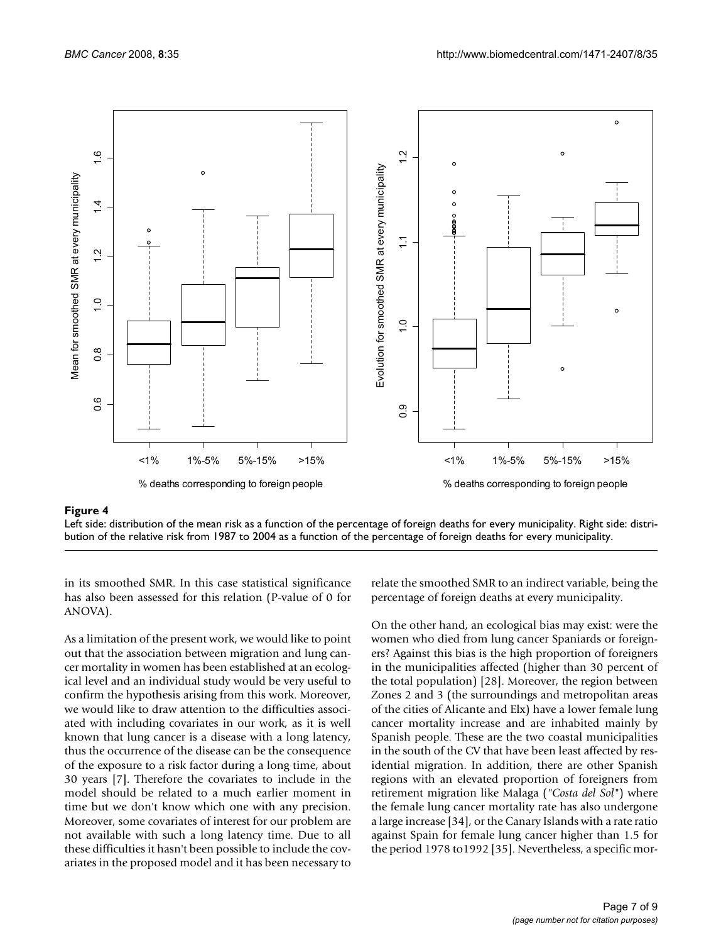

## Left side: distribution of the mean risk as a function **Figure 4** of the percentage of foreign deaths for every municipality

Left side: distribution of the mean risk as a function of the percentage of foreign deaths for every municipality. Right side: distri-

in its smoothed SMR. In this case statistical significance has also been assessed for this relation (P-value of 0 for ANOVA).

As a limitation of the present work, we would like to point out that the association between migration and lung cancer mortality in women has been established at an ecological level and an individual study would be very useful to confirm the hypothesis arising from this work. Moreover, we would like to draw attention to the difficulties associated with including covariates in our work, as it is well known that lung cancer is a disease with a long latency, thus the occurrence of the disease can be the consequence of the exposure to a risk factor during a long time, about 30 years [7]. Therefore the covariates to include in the model should be related to a much earlier moment in time but we don't know which one with any precision. Moreover, some covariates of interest for our problem are not available with such a long latency time. Due to all these difficulties it hasn't been possible to include the covariates in the proposed model and it has been necessary to

relate the smoothed SMR to an indirect variable, being the percentage of foreign deaths at every municipality.

On the other hand, an ecological bias may exist: were the women who died from lung cancer Spaniards or foreigners? Against this bias is the high proportion of foreigners in the municipalities affected (higher than 30 percent of the total population) [28]. Moreover, the region between Zones 2 and 3 (the surroundings and metropolitan areas of the cities of Alicante and Elx) have a lower female lung cancer mortality increase and are inhabited mainly by Spanish people. These are the two coastal municipalities in the south of the CV that have been least affected by residential migration. In addition, there are other Spanish regions with an elevated proportion of foreigners from retirement migration like Malaga (*"Costa del Sol"*) where the female lung cancer mortality rate has also undergone a large increase [34], or the Canary Islands with a rate ratio against Spain for female lung cancer higher than 1.5 for the period 1978 to1992 [35]. Nevertheless, a specific mor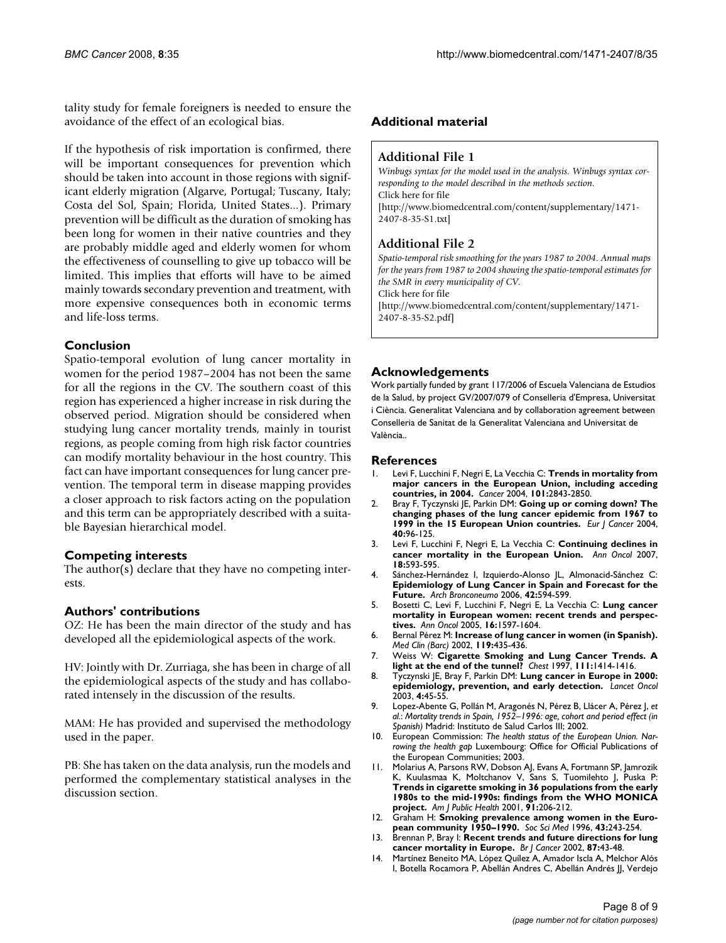tality study for female foreigners is needed to ensure the avoidance of the effect of an ecological bias.

If the hypothesis of risk importation is confirmed, there will be important consequences for prevention which should be taken into account in those regions with significant elderly migration (Algarve, Portugal; Tuscany, Italy; Costa del Sol, Spain; Florida, United States...). Primary prevention will be difficult as the duration of smoking has been long for women in their native countries and they are probably middle aged and elderly women for whom the effectiveness of counselling to give up tobacco will be limited. This implies that efforts will have to be aimed mainly towards secondary prevention and treatment, with more expensive consequences both in economic terms and life-loss terms.

## **Conclusion**

Spatio-temporal evolution of lung cancer mortality in women for the period 1987–2004 has not been the same for all the regions in the CV. The southern coast of this region has experienced a higher increase in risk during the observed period. Migration should be considered when studying lung cancer mortality trends, mainly in tourist regions, as people coming from high risk factor countries can modify mortality behaviour in the host country. This fact can have important consequences for lung cancer prevention. The temporal term in disease mapping provides a closer approach to risk factors acting on the population and this term can be appropriately described with a suitable Bayesian hierarchical model.

## **Competing interests**

The author(s) declare that they have no competing interests.

## **Authors' contributions**

OZ: He has been the main director of the study and has developed all the epidemiological aspects of the work.

HV: Jointly with Dr. Zurriaga, she has been in charge of all the epidemiological aspects of the study and has collaborated intensely in the discussion of the results.

MAM: He has provided and supervised the methodology used in the paper.

PB: She has taken on the data analysis, run the models and performed the complementary statistical analyses in the discussion section.

## **Additional material**

#### **Additional File 1**

*Winbugs syntax for the model used in the analysis. Winbugs syntax corresponding to the model described in the methods section.* Click here for file [http://www.biomedcentral.com/content/supplementary/1471- 2407-8-35-S1.txt]

## **Additional File 2**

*Spatio-temporal risk smoothing for the years 1987 to 2004. Annual maps for the years from 1987 to 2004 showing the spatio-temporal estimates for the SMR in every municipality of CV.* Click here for file [http://www.biomedcentral.com/content/supplementary/1471- 2407-8-35-S2.pdf]

## **Acknowledgements**

Work partially funded by grant 117/2006 of Escuela Valenciana de Estudios de la Salud, by project GV/2007/079 of Conselleria d'Empresa, Universitat i Ciència. Generalitat Valenciana and by collaboration agreement between Conselleria de Sanitat de la Generalitat Valenciana and Universitat de València..

#### **References**

- 1. Levi F, Lucchini F, Negri E, La Vecchia C: **Trends in mortality from major cancers in the European Union, including acceding countries, in 2004.** *Cancer* 2004, **101:**2843-2850.
- 2. Bray F, Tyczynski JE, Parkin DM: **Going up or coming down? The changing phases of the lung cancer epidemic from 1967 to 1999 in the 15 European Union countries.** *Eur J Cancer* 2004, **40:**96-125.
- 3. Levi F, Lucchini F, Negri E, La Vecchia C: **Continuing declines in cancer mortality in the European Union.** *Ann Oncol* 2007, **18:**593-595.
- 4. Sánchez-Hernández I, Izquierdo-Alonso JL, Almonacid-Sánchez C: **Epidemiology of Lung Cancer in Spain and Forecast for the Future.** *Arch Bronconeumo* 2006, **42:**594-599.
- 5. Bosetti C, Levi F, Lucchini F, Negri E, La Vecchia C: **Lung cancer mortality in European women: recent trends and perspectives.** *Ann Oncol* 2005, **16:**1597-1604.
- 6. Bernal Pérez M: **Increase of lung cancer in women (in Spanish).** *Med Clin (Barc)* 2002, **119:**435-436.
- 7. Weiss W: **Cigarette Smoking and Lung Cancer Trends. A light at the end of the tunnel?** *Chest* 1997, **111:**1414-1416.
- 8. Tyczynski JE, Bray F, Parkin DM: **Lung cancer in Europe in 2000: epidemiology, prevention, and early detection.** *Lancet Oncol* 2003, **4:**45-55.
- 9. Lopez-Abente G, Pollán M, Aragonés N, Pérez B, Llácer A, Pérez J, *et al.*: *Mortality trends in Spain, 1952–1996: age, cohort and period effect (in Spanish)* Madrid: Instituto de Salud Carlos III; 2002.
- 10. European Commission: *The health status of the European Union. Nar*rowing the health gap Luxembourg: Office for Official Publications of the European Communities; 2003.
- 11. Molarius A, Parsons RW, Dobson AJ, Evans A, Fortmann SP, Jamrozik K, Kuulasmaa K, Moltchanov V, Sans S, Tuomilehto J, Puska P: **Trends in cigarette smoking in 36 populations from the early 1980s to the mid-1990s: findings from the WHO MONICA project.** *Am J Public Health* 2001, **91:**206-212.
- 12. Graham H: **Smoking prevalence among women in the European community 1950–1990.** *Soc Sci Med* 1996, **43:**243-254.
- 13. Brennan P, Bray I: **Recent trends and future directions for lung cancer mortality in Europe.** *Br J Cancer* 2002, **87:**43-48.
- 14. Martínez Beneito MA, López Quílez A, Amador Iscla A, Melchor Alós I, Botella Rocamora P, Abellán Andres C, Abellán Andrés JJ, Verdejo